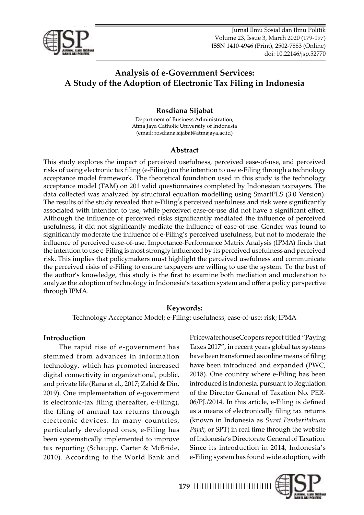<span id="page-0-0"></span>

*Rosdiana Sijabat: Analysis of e-Government Services: A Study of the Adoption of Electronic Tax Filing*  Jurnal Ilmu Sosial dan Ilmu Politik *in Indonesia*  Volume 23, Issue 3, March 2020 (179-197) ISSN 1410-4946 (Print), 2502-7883 (Online) doi: 10.22146/jsp.52770

# **Analysis of e-Government Services: A Study of the Adoption of Electronic Tax Filing in Indonesia**

# **Rosdiana Sijabat**

Department of Business Administration, Atma Jaya Catholic University of Indonesia (email: rosdiana.sijabat@atmajaya.ac.id)

### **Abstract**

This study explores the impact of perceived usefulness, perceived ease-of-use, and perceived risks of using electronic tax filing (e-Filing) on the intention to use e-Filing through a technology acceptance model framework. The theoretical foundation used in this study is the technology acceptance model (TAM) on 201 valid questionnaires completed by Indonesian taxpayers. The data collected was analyzed by structural equation modelling using SmartPLS (3.0 Version). The results of the study revealed that e-Filing's perceived usefulness and risk were significantly associated with intention to use, while perceived ease-of-use did not have a significant effect. Although the influence of perceived risks significantly mediated the influence of perceived usefulness, it did not significantly mediate the influence of ease-of-use. Gender was found to significantly moderate the influence of e-Filing's perceived usefulness, but not to moderate the influence of perceived ease-of-use. Importance-Performance Matrix Analysis (IPMA) finds that the intention to use e-Filing is most strongly influenced by its perceived usefulness and perceived risk. This implies that policymakers must highlight the perceived usefulness and communicate the perceived risks of e-Filing to ensure taxpayers are willing to use the system. To the best of the author's knowledge, this study is the first to examine both mediation and moderation to analyze the adoption of technology in Indonesia's taxation system and offer a policy perspective through IPMA.

### **Keywords:**

Technology Acceptance Model; e-Filing; usefulness; ease-of-use; risk; IPMA

# **Introduction**

The rapid rise of e-government has stemmed from advances in information technology, which has promoted increased digital connectivity in organizational, public, and private life (Rana et al., 2017; Zahid & Din, 2019). One implementation of e-government is electronic-tax filing (hereafter, e-Filing), the filing of annual tax returns through electronic devices. In many countries, particularly developed ones, e-Filing has been systematically implemented to improve tax reporting (Schaupp, Carter & McBride, 2010). According to the World Bank and PricewaterhouseCoopers report titled "Paying Taxes 2017", in recent years global tax systems have been transformed as online means of filing have been introduced and expanded (PWC, 2018). One country where e-Filing has been introduced is Indonesia, pursuant to Regulation of the Director General of Taxation No. PER-06/PJ./2014. In this article, e-Filing is defined as a means of electronically filing tax returns (known in Indonesia as *Surat Pemberitahuan Pajak*, or SPT) in real time through the website of Indonesia's Directorate General of Taxation. Since its introduction in 2014, Indonesia's e-Filing system has found wide adoption, with

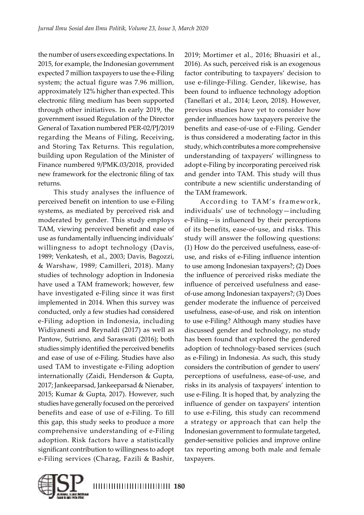the number of users exceeding expectations. In 2015, for example, the Indonesian government expected 7 million taxpayers to use the e-Filing system; the actual figure was 7.96 million, approximately 12% higher than expected. This electronic filing medium has been supported through other initiatives. In early 2019, the government issued Regulation of the Director General of Taxation numbered PER-02/PJ/2019 regarding the Means of Filing, Receiving, and Storing Tax Returns. This regulation, building upon Regulation of the Minister of Finance numbered 9/PMK.03/2018, provided new framework for the electronic filing of tax returns.

This study analyses the influence of perceived benefit on intention to use e-Filing systems, as mediated by perceived risk and moderated by gender. This study employs TAM, viewing perceived benefit and ease of use as fundamentally influencing individuals' willingness to adopt technology (Davis, 1989; Venkatesh, et al., 2003; Davis, Bagozzi, & Warshaw, 1989; Camilleri, 2018). Many studies of technology adoption in Indonesia have used a TAM framework; however, few have investigated e-Filing since it was first implemented in 2014. When this survey was conducted, only a few studies had considered e-Filing adoption in Indonesia, including Widiyanesti and Reynaldi (2017) as well as Pantow, Sutrisno, and Saraswati (2016); both studies simply identified the perceived benefits and ease of use of e-Filing. Studies have also used TAM to investigate e-Filing adoption internationally (Zaidi, Henderson & Gupta, 2017; Jankeeparsad, Jankeeparsad & Nienaber, 2015; Kumar & Gupta, 2017). However, such studies have generally focused on the perceived benefits and ease of use of e-Filing. To fill this gap, this study seeks to produce a more comprehensive understanding of e-Filing adoption. Risk factors have a statistically significant contribution to willingness to adopt e-Filing services (Charag, Fazili & Bashir,

2019; Mortimer et al., 2016; Bhuasiri et al., 2016). As such, perceived risk is an exogenous factor contributing to taxpayers' decision to use e-filinge-Filing. Gender, likewise, has been found to influence technology adoption (Tanellari et al., 2014; Leon, 2018). However, previous studies have yet to consider how gender influences how taxpayers perceive the benefits and ease-of-use of e-Filing. Gender is thus considered a moderating factor in this study, which contributes a more comprehensive understanding of taxpayers' willingness to adopt e-Filing by incorporating perceived risk and gender into TAM. This study will thus contribute a new scientific understanding of the TAM framework.

According to TAM's framework, individuals' use of technology—including e-Filing—is influenced by their perceptions of its benefits, ease-of-use, and risks. This study will answer the following questions: (1) How do the perceived usefulness, ease-ofuse, and risks of e-Filing influence intention to use among Indonesian taxpayers?; (2) Does the influence of perceived risks mediate the influence of perceived usefulness and easeof-use among Indonesian taxpayers?; (3) Does gender moderate the influence of perceived usefulness, ease-of-use, and risk on intention to use e-Filing? Although many studies have discussed gender and technology, no study has been found that explored the gendered adoption of technology-based services (such as e-Filing) in Indonesia. As such, this study considers the contribution of gender to users' perceptions of usefulness, ease-of-use, and risks in its analysis of taxpayers' intention to use e-Filing. It is hoped that, by analyzing the influence of gender on taxpayers' intention to use e-Filing, this study can recommend a strategy or approach that can help the Indonesian government to formulate targeted, gender-sensitive policies and improve online tax reporting among both male and female taxpayers.

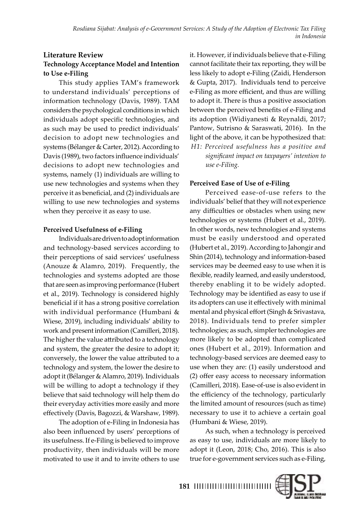# **Literature Review Technology Acceptance Model and Intention to Use e-Filing**

This study applies TAM's framework to understand individuals' perceptions of information technology (Davis, 1989). TAM considers the psychological conditions in which individuals adopt specific technologies, and as such may be used to predict individuals' decision to adopt new technologies and systems (Bélanger & Carter, 2012). According to Davis (1989), two factors influence individuals' decisions to adopt new technologies and systems, namely (1) individuals are willing to use new technologies and systems when they perceive it as beneficial, and (2) individuals are willing to use new technologies and systems when they perceive it as easy to use.

### **Perceived Usefulness of e-Filing**

Individuals are driven to adopt information and technology-based services according to their perceptions of said services' usefulness (Anouze & Alamro, 2019). Frequently, the technologies and systems adopted are those that are seen as improving performance (Hubert et al., 2019). Technology is considered highly beneficial if it has a strong positive correlation with individual performance (Humbani & Wiese, 2019), including individuals' ability to work and present information (Camilleri, 2018). The higher the value attributed to a technology and system, the greater the desire to adopt it; conversely, the lower the value attributed to a technology and system, the lower the desire to adopt it (Bélanger & Alamro, 2019). Individuals will be willing to adopt a technology if they believe that said technology will help them do their everyday activities more easily and more effectively (Davis, Bagozzi, & Warshaw, 1989).

The adoption of e-Filing in Indonesia has also been influenced by users' perceptions of its usefulness. If e-Filing is believed to improve productivity, then individuals will be more motivated to use it and to invite others to use

it. However, if individuals believe that e-Filing cannot facilitate their tax reporting, they will be less likely to adopt e-Filing (Zaidi, Henderson & Gupta, 2017). Individuals tend to perceive e-Filing as more efficient, and thus are willing to adopt it. There is thus a positive association between the perceived benefits of e-Filing and its adoption (Widiyanesti & Reynaldi, 2017; Pantow, Sutrisno & Saraswati, 2016). In the light of the above, it can be hypothesized that: *H1: Perceived usefulness has a positive and significant impact on taxpayers' intention to use e-Filing.*

# **Perceived Ease of Use of e-Filing**

Perceived ease-of-use refers to the individuals' belief that they will not experience any difficulties or obstacles when using new technologies or systems (Hubert et al., 2019). In other words, new technologies and systems must be easily understood and operated (Hubert et al., 2019). According to Jahongir and Shin (2014), technology and information-based services may be deemed easy to use when it is flexible, readily learned, and easily understood, thereby enabling it to be widely adopted. Technology may be identified as easy to use if its adopters can use it effectively with minimal mental and physical effort (Singh & Srivastava, 2018). Individuals tend to prefer simpler technologies; as such, simpler technologies are more likely to be adopted than complicated ones (Hubert et al., 2019). Information and technology-based services are deemed easy to use when they are: (1) easily understood and (2) offer easy access to necessary information (Camilleri, 2018). Ease-of-use is also evident in the efficiency of the technology, particularly the limited amount of resources (such as time) necessary to use it to achieve a certain goal (Humbani & Wiese, 2019).

As such, when a technology is perceived as easy to use, individuals are more likely to adopt it (Leon, 2018; Cho, 2016). This is also true for e-government services such as e-Filing,

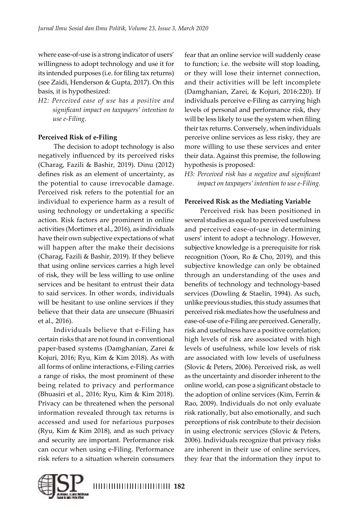where ease-of-use is a strong indicator of users' willingness to adopt technology and use it for its intended purposes (i.e. for filing tax returns) (see Zaidi, Henderson & Gupta, 2017). On this basis, it is hypothesized:

*H2: Perceived ease of use has a positive and significant impact on taxpayers' intention to use e-Filing.*

# **Perceived Risk of e-Filing**

The decision to adopt technology is also negatively influenced by its perceived risks (Charag, Fazili & Bashir, 2019). Dinu (2012) defines risk as an element of uncertainty, as the potential to cause irrevocable damage. Perceived risk refers to the potential for an individual to experience harm as a result of using technology or undertaking a specific action. Risk factors are prominent in online activities (Mortimer et al., 2016), as individuals have their own subjective expectations of what will happen after the make their decisions (Charag, Fazili & Bashir, 2019). If they believe that using online services carries a high level of risk, they will be less willing to use online services and be hesitant to entrust their data to said services. In other words, individuals will be hesitant to use online services if they believe that their data are unsecure (Bhuasiri et al., 2016).

Individuals believe that e-Filing has certain risks that are not found in conventional paper-based systems (Damghanian, Zarei & Kojuri, 2016; Ryu, Kim & Kim 2018). As with all forms of online interactions, e-Filing carries a range of risks, the most prominent of these being related to privacy and performance (Bhuasiri et al., 2016; Ryu, Kim & Kim 2018). Privacy can be threatened when the personal information revealed through tax returns is accessed and used for nefarious purposes (Ryu, Kim & Kim 2018), and as such privacy and security are important. Performance risk can occur when using e-Filing. Performance risk refers to a situation wherein consumers

fear that an online service will suddenly cease to function; i.e. the website will stop loading, or they will lose their internet connection, and their activities will be left incomplete (Damghanian, Zarei, & Kojuri, 2016:220). If individuals perceive e-Filing as carrying high levels of personal and performance risk, they will be less likely to use the system when filing their tax returns. Conversely, when individuals perceive online services as less risky, they are more willing to use these services and enter their data. Against this premise, the following hypothesis is proposed:

*H3: Perceived risk has a negative and significant impact on taxpayers' intention to use e-Filing.*

### **Perceived Risk as the Mediating Variable**

Perceived risk has been positioned in several studies as equal to perceived usefulness and perceived ease-of-use in determining users' intent to adopt a technology. However, subjective knowledge is a prerequisite for risk recognition (Yoon, Ro & Cho, 2019), and this subjective knowledge can only be obtained through an understanding of the uses and benefits of technology and technology-based services (Dowling & Staelin, 1994). As such, unlike previous studies, this study assumes that perceived risk mediates how the usefulness and ease-of-use of e-Filing are perceived. Generally, risk and usefulness have a positive correlation; high levels of risk are associated with high levels of usefulness, while low levels of risk are associated with low levels of usefulness (Slovic & Peters, 2006). Perceived risk, as well as the uncertainty and disorder inherent to the online world, can pose a significant obstacle to the adoption of online services (Kim, Ferrin & Rao, 2009). Individuals do not only evaluate risk rationally, but also emotionally, and such perceptions of risk contribute to their decision in using electronic services (Slovic & Peters, 2006). Individuals recognize that privacy risks are inherent in their use of online services, they fear that the information they input to

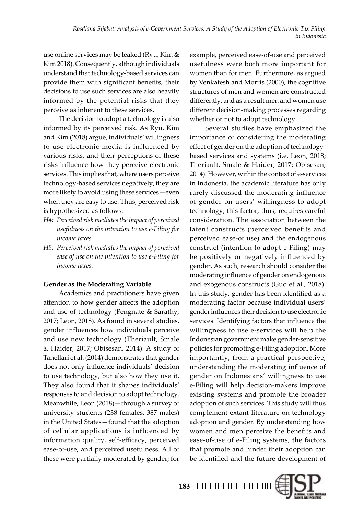use online services may be leaked (Ryu, Kim & Kim 2018). Consequently, although individuals understand that technology-based services can provide them with significant benefits, their decisions to use such services are also heavily informed by the potential risks that they perceive as inherent to these services.

The decision to adopt a technology is also informed by its perceived risk. As Ryu, Kim and Kim (2018) argue, individuals' willingness to use electronic media is influenced by various risks, and their perceptions of these risks influence how they perceive electronic services. This implies that, where users perceive technology-based services negatively, they are more likely to avoid using these services—even when they are easy to use. Thus, perceived risk is hypothesized as follows:

- *H4: Perceived risk mediates the impact of perceived usefulness on the intention to use e-Filing for income taxes.*
- *H5: Perceived risk mediates the impact of perceived ease of use on the intention to use e-Filing for income taxes.*

### **Gender as the Moderating Variable**

Academics and practitioners have given attention to how gender affects the adoption and use of technology (Pengnate & Sarathy, 2017; Leon, 2018). As found in several studies, gender influences how individuals perceive and use new technology (Theriault, Smale & Haider, 2017; Obisesan, 2014). A study of Tanellari et al. (2014) demonstrates that gender does not only influence individuals' decision to use technology, but also how they use it. They also found that it shapes individuals' responses to and decision to adopt technology. Meanwhile, Leon (2018)—through a survey of university students (238 females, 387 males) in the United States—found that the adoption of cellular applications is influenced by information quality, self-efficacy, perceived ease-of-use, and perceived usefulness. All of these were partially moderated by gender; for

example, perceived ease-of-use and perceived usefulness were both more important for women than for men. Furthermore, as argued by Venkatesh and Morris (2000), the cognitive structures of men and women are constructed differently, and as a result men and women use different decision-making processes regarding whether or not to adopt technology.

Several studies have emphasized the importance of considering the moderating effect of gender on the adoption of technologybased services and systems (i.e. Leon, 2018; Theriault, Smale & Haider, 2017; Obisesan, 2014). However, within the context of e-services in Indonesia, the academic literature has only rarely discussed the moderating influence of gender on users' willingness to adopt technology; this factor, thus, requires careful consideration. The association between the latent constructs (perceived benefits and perceived ease-of use) and the endogenous construct (intention to adopt e-Filing) may be positively or negatively influenced by gender. As such, research should consider the moderating influence of gender on endogenous and exogenous constructs (Guo et al., 2018). In this study, gender has been identified as a moderating factor because individual users' gender influences their decision to use electronic services. Identifying factors that influence the willingness to use e-services will help the Indonesian government make gender-sensitive policies for promoting e-Filing adoption. More importantly, from a practical perspective, understanding the moderating influence of gender on Indonesians' willingness to use e-Filing will help decision-makers improve existing systems and promote the broader adoption of such services. This study will thus complement extant literature on technology adoption and gender. By understanding how women and men perceive the benefits and ease-of-use of e-Filing systems, the factors that promote and hinder their adoption can be identified and the future development of

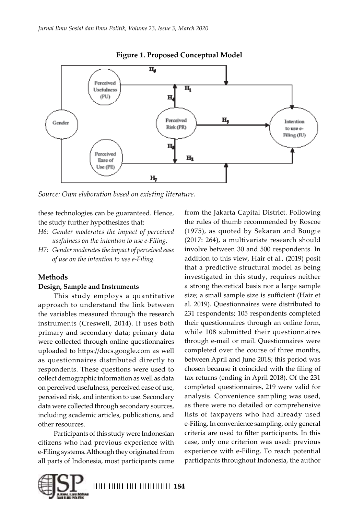

**Figure 1. Proposed Conceptual Model**

*Source: Own elaboration based on existing literature.*

these technologies can be guaranteed. Hence, the study further hypothesizes that:

- *H6: Gender moderates the impact of perceived usefulness on the intention to use e-Filing.*
- *H7: Gender moderates the impact of perceived ease of use on the intention to use e-Filing.*

### **Methods**

### **Design, Sample and Instruments**

This study employs a quantitative approach to understand the link between the variables measured through the research instruments (Creswell, 2014). It uses both primary and secondary data; primary data were collected through online questionnaires uploaded to https://docs.google.com as well as questionnaires distributed directly to respondents. These questions were used to collect demographic information as well as data on perceived usefulness, perceived ease of use, perceived risk, and intention to use. Secondary data were collected through secondary sources, including academic articles, publications, and other resources.

Participants of this study were Indonesian citizens who had previous experience with e-Filing systems. Although they originated from all parts of Indonesia, most participants came

from the Jakarta Capital District. Following the rules of thumb recommended by Roscoe (1975), as quoted by Sekaran and Bougie (2017: 264), a multivariate research should involve between 30 and 500 respondents. In addition to this view, Hair et al., (2019) posit that a predictive structural model as being investigated in this study, requires neither a strong theoretical basis nor a large sample size; a small sample size is sufficient (Hair et al. 2019). Questionnaires were distributed to 231 respondents; 105 respondents completed their questionnaires through an online form, while 108 submitted their questionnaires through e-mail or mail. Questionnaires were completed over the course of three months, between April and June 2018; this period was chosen because it coincided with the filing of tax returns (ending in April 2018). Of the 231 completed questionnaires, 219 were valid for analysis. Convenience sampling was used, as there were no detailed or comprehensive lists of taxpayers who had already used e-Filing. In convenience sampling, only general criteria are used to filter participants. In this case, only one criterion was used: previous experience with e-Filing. To reach potential participants throughout Indonesia, the author

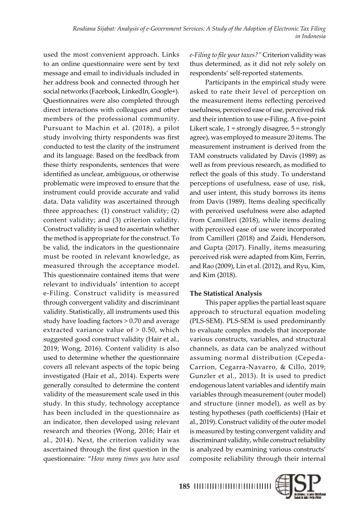used the most convenient approach. Links to an online questionnaire were sent by text message and email to individuals included in her address book and connected through her social networks (Facebook, LinkedIn, Google+). Questionnaires were also completed through direct interactions with colleagues and other members of the professional community. Pursuant to Machin et al. (2018), a pilot study involving thirty respondents was first conducted to test the clarity of the instrument and its language. Based on the feedback from these thirty respondents, sentences that were identified as unclear, ambiguous, or otherwise problematic were improved to ensure that the instrument could provide accurate and valid data. Data validity was ascertained through three approaches: (1) construct validity; (2) content validity; and (3) criterion validity. Construct validity is used to ascertain whether the method is appropriate for the construct. To be valid, the indicators in the questionnaire must be rooted in relevant knowledge, as measured through the acceptance model. This questionnaire contained items that were relevant to individuals' intention to accept e-Filing. Construct validity is measured through convergent validity and discriminant validity. Statistically, all instruments used this study have loading factors > 0.70 and average extracted variance value of > 0.50, which suggested good construct validity (Hair et al., 2019; Wong, 2016). Content validity is also used to determine whether the questionnaire covers all relevant aspects of the topic being investigated (Hair et al., 2014). Experts were generally consulted to determine the content validity of the measurement scale used in this study. In this study, technology acceptance has been included in the questionnaire as an indicator, then developed using relevant research and theories (Wong, 2016; Hair et al., 2014). Next, the criterion validity was ascertained through the first question in the questionnaire: "*How many times you have used* 

*e-Filing to file your taxes?"* Criterion validity was thus determined, as it did not rely solely on respondents' self-reported statements.

Participants in the empirical study were asked to rate their level of perception on the measurement items reflecting perceived usefulness, perceived ease of use, perceived risk and their intention to use e-Filing. A five-point Likert scale, 1 = strongly disagree, 5 = strongly agree), was employed to measure 20 items. The measurement instrument is derived from the TAM constructs validated by Davis (1989) as well as from previous research, as modified to reflect the goals of this study. To understand perceptions of usefulness, ease of use, risk, and user intent, this study borrows its items from Davis (1989). Items dealing specifically with perceived usefulness were also adapted from Camilleri (2018), while items dealing with perceived ease of use were incorporated from Camilleri (2018) and Zaidi, Henderson, and Gupta (2017). Finally, items measuring perceived risk were adapted from Kim, Ferrin, and Rao (2009), Lin et al. (2012), and Ryu, Kim, and Kim (2018).

### **The Statistical Analysis**

This paper applies the partial least square approach to structural equation modeling (PLS-SEM). PLS-SEM is used predominantly to evaluate complex models that incorporate various constructs, variables, and structural channels, as data can be analyzed without assuming normal distribution (Cepeda-Carrion, Cegarra-Navarro, & Cillo, 2019; Gunzler et al., 2013). It is used to predict endogenous latent variables and identify main variables through measurement (outer model) and structure (inner model), as well as by testing hypotheses (path coefficients) (Hair et al., 2019). Construct validity of the outer model is measured by testing convergent validity and discriminant validity, while construct reliability is analyzed by examining various constructs' composite reliability through their internal

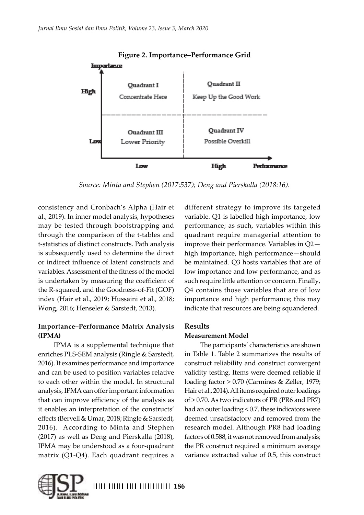

*Source: Minta and Stephen (2017:537); Deng and Pierskalla (2018:16).*

consistency and Cronbach's Alpha (Hair et al., 2019). In inner model analysis, hypotheses may be tested through bootstrapping and through the comparison of the t-tables and t-statistics of distinct constructs. Path analysis is subsequently used to determine the direct or indirect influence of latent constructs and variables. Assessment of the fitness of the model is undertaken by measuring the coefficient of the R-squared, and the Goodness-of-Fit (GOF) index (Hair et al., 2019; Hussaini et al., 2018; Wong, 2016; Henseler & Sarstedt, 2013).

### **Importance–Performance Matrix Analysis (IPMA)**

IPMA is a supplemental technique that enriches PLS-SEM analysis (Ringle & Sarstedt, 2016). It examines performance and importance and can be used to position variables relative to each other within the model. In structural analysis, IPMA can offer important information that can improve efficiency of the analysis as it enables an interpretation of the constructs' effects (Bervell & Umar, 2018; Ringle & Sarstedt, 2016). According to Minta and Stephen (2017) as well as Deng and Pierskalla (2018), IPMA may be understood as a four-quadrant matrix (Q1-Q4). Each quadrant requires a

different strategy to improve its targeted variable. Q1 is labelled high importance, low performance; as such, variables within this quadrant require managerial attention to improve their performance. Variables in Q2 high importance, high performance—should be maintained. Q3 hosts variables that are of low importance and low performance, and as such require little attention or concern. Finally, Q4 contains those variables that are of low importance and high performance; this may indicate that resources are being squandered.

# **Results**

### **Measurement Model**

The participants' characteristics are shown in Table 1. Table 2 summarizes the results of construct reliability and construct convergent validity testing. Items were deemed reliable if loading factor > 0.70 (Carmines & Zeller, 1979; Hair et al., 2014). All items required outer loadings of > 0.70. As two indicators of PR (PR6 and PR7) had an outer loading < 0.7, these indicators were deemed unsatisfactory and removed from the research model. Although PR8 had loading factors of 0.588, it was not removed from analysis; the PR construct required a minimum average variance extracted value of 0.5, this construct

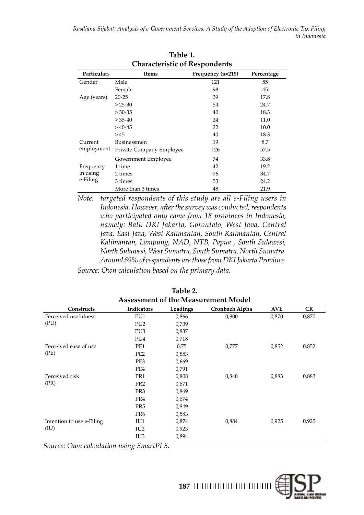| <b>Characteristic of Respondents</b> |                          |                   |            |  |  |  |  |
|--------------------------------------|--------------------------|-------------------|------------|--|--|--|--|
| Particulars                          | Items                    | Frequency (n=219) | Percentage |  |  |  |  |
| Gender                               | Male                     | 121               | 55         |  |  |  |  |
|                                      | Female                   | 98                | 45         |  |  |  |  |
| Age (years)                          | $20 - 25$                | 39                | 17.8       |  |  |  |  |
|                                      | $> 25-30$                | 54                | 24.7       |  |  |  |  |
|                                      | $> 30 - 35$              | 40                | 18.3       |  |  |  |  |
|                                      | $> 35-40$                | 24                | 11.0       |  |  |  |  |
|                                      | $>40-45$                 | 22                | 10.0       |  |  |  |  |
|                                      | >45                      | 40                | 18.3       |  |  |  |  |
| Current                              | Businessmen              | 19                | 8.7        |  |  |  |  |
| employment                           | Private Company Employee | 126               | 57.5       |  |  |  |  |
|                                      | Government Employee      | 74                | 33.8       |  |  |  |  |
| Frequency                            | 1 time                   | 42                | 19.2       |  |  |  |  |
| in using                             | 2 times                  | 76                | 34.7       |  |  |  |  |
| e-Filing                             | 3 times                  | 53                | 24.2       |  |  |  |  |
|                                      | More than 3 times        | 48                | 21.9       |  |  |  |  |

**Table 1.** 

*Note: targeted respondents of this study are all e-Filing users in Indonesia. However, after the survey was conducted, respondents who participated only came from 18 provinces in Indonesia, namely: Bali, DKI Jakarta, Gorontalo, West Java, Central Java, East Java, West Kalimantan, South Kalimantan, Central Kalimantan, Lampung, NAD, NTB, Papua , South Sulawesi, North Sulawesi, West Sumatra, South Sumatra, North Sumatra. Around 69% of respondents are those from DKI Jakarta Province.*

*Source: Own calculation based on the primary data.* 

| <b>Assessment of the Measurement Model</b> |                 |          |                |            |           |  |  |
|--------------------------------------------|-----------------|----------|----------------|------------|-----------|--|--|
| <b>Constructs</b>                          | Indicators      | Loadings | Cronbach Alpha | <b>AVE</b> | <b>CR</b> |  |  |
| Perceived usefulness                       | PU1             | 0,866    | 0,800          | 0,870      | 0,870     |  |  |
| (PU)                                       | PU <sub>2</sub> | 0,739    |                |            |           |  |  |
|                                            | PU <sub>3</sub> | 0,837    |                |            |           |  |  |
|                                            | PU <sub>4</sub> | 0,718    |                |            |           |  |  |
| Perceived ease of use                      | PE1             | 0,75     | 0,777          | 0,852      | 0,852     |  |  |
| (PE)                                       | PE <sub>2</sub> | 0,853    |                |            |           |  |  |
|                                            | PE3             | 0,669    |                |            |           |  |  |
|                                            | PE4             | 0,791    |                |            |           |  |  |
| Perceived risk                             | PR1             | 0,808    | 0,848          | 0,883      | 0,883     |  |  |
| (PR)                                       | PR <sub>2</sub> | 0,671    |                |            |           |  |  |
|                                            | PR <sub>3</sub> | 0,869    |                |            |           |  |  |
|                                            | PR4             | 0,674    |                |            |           |  |  |
|                                            | PR <sub>5</sub> | 0,849    |                |            |           |  |  |
|                                            | PR <sub>6</sub> | 0,583    |                |            |           |  |  |
| Intention to use e-Filing                  | IU1             | 0,874    | 0,884          | 0,925      | 0,925     |  |  |
| (IU)                                       | IU <sub>2</sub> | 0,923    |                |            |           |  |  |
|                                            | IU <sub>3</sub> | 0,894    |                |            |           |  |  |

**Table 2.** 

*Source: Own calculation using SmartPLS.* 

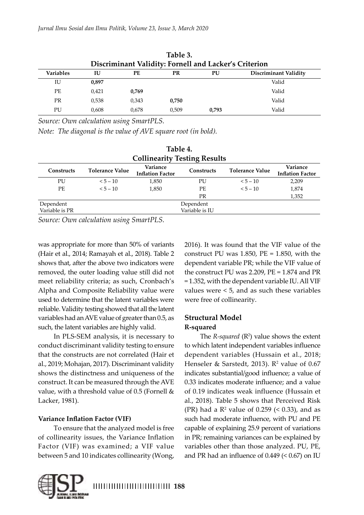| Table 3.<br>Discriminant Validity: Fornell and Lacker's Criterion |       |       |       |       |                              |  |  |
|-------------------------------------------------------------------|-------|-------|-------|-------|------------------------------|--|--|
| <b>Variables</b>                                                  | IU    | PЕ    | PR    | PU    | <b>Discriminant Validity</b> |  |  |
| IU                                                                | 0.897 |       |       |       | Valid                        |  |  |
| PЕ                                                                | 0,421 | 0.769 |       |       | Valid                        |  |  |
| <b>PR</b>                                                         | 0.538 | 0.343 | 0.750 |       | Valid                        |  |  |
| PU                                                                | 0.608 | 0.678 | 0.509 | 0.793 | Valid                        |  |  |

**Table 3.** 

*Source: Own calculation using SmartPLS.* 

*Note: The diagonal is the value of AVE square root (in bold).*

| Table 4.                            |                                                                                                                                              |       |                |          |       |  |  |  |
|-------------------------------------|----------------------------------------------------------------------------------------------------------------------------------------------|-------|----------------|----------|-------|--|--|--|
| <b>Collinearity Testing Results</b> |                                                                                                                                              |       |                |          |       |  |  |  |
| <b>Constructs</b>                   | Variance<br>Variance<br><b>Tolerance Value</b><br><b>Tolerance Value</b><br>Constructs<br><b>Inflation Factor</b><br><b>Inflation Factor</b> |       |                |          |       |  |  |  |
| PU                                  | $5 - 10$                                                                                                                                     | 1,850 | PU             | $5 - 10$ | 2,209 |  |  |  |
| PE                                  | $5 - 10$                                                                                                                                     | 1,850 | PЕ             | $5 - 10$ | 1,874 |  |  |  |
|                                     |                                                                                                                                              |       | PR             |          | 1,352 |  |  |  |
| Dependent                           | Dependent                                                                                                                                    |       |                |          |       |  |  |  |
| Variable is PR                      |                                                                                                                                              |       | Variable is IU |          |       |  |  |  |

*Source: Own calculation using SmartPLS.* 

was appropriate for more than 50% of variants (Hair et al., 2014; Ramayah et al., 2018). Table 2 shows that, after the above two indicators were removed, the outer loading value still did not meet reliability criteria; as such, Cronbach's Alpha and Composite Reliability value were used to determine that the latent variables were reliable. Validity testing showed that all the latent variables had an AVE value of greater than 0.5, as such, the latent variables are highly valid.

In PLS-SEM analysis, it is necessary to conduct discriminant validity testing to ensure that the constructs are not correlated (Hair et al., 2019; Mohajan, 2017). Discriminant validity shows the distinctness and uniqueness of the construct. It can be measured through the AVE value, with a threshold value of 0.5 (Fornell & Lacker, 1981).

# **Variance Inflation Factor (VIF)**

To ensure that the analyzed model is free of collinearity issues, the Variance Inflation Factor (VIF) was examined; a VIF value between 5 and 10 indicates collinearity (Wong,



# **Structural Model R-squared**

The  $R$ -squared  $(R^2)$  value shows the extent to which latent independent variables influence dependent variables (Hussain et al., 2018; Henseler & Sarstedt, 2013).  $\mathbb{R}^2$  value of 0.67 indicates substantial/good influence; a value of 0.33 indicates moderate influence; and a value of 0.19 indicates weak influence (Hussain et al., 2018). Table 5 shows that Perceived Risk (PR) had a  $\mathbb{R}^2$  value of 0.259 (< 0.33), and as such had moderate influence, with PU and PE capable of explaining 25.9 percent of variations in PR; remaining variances can be explained by variables other than those analyzed. PU, PE, and PR had an influence of 0.449 (< 0.67) on IU

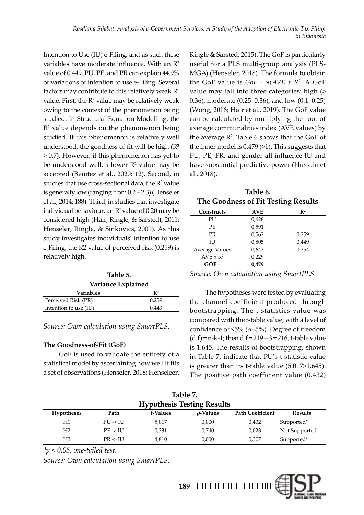Intention to Use (IU) e-Filing, and as such these variables have moderate influence. With an R<sup>2</sup> value of 0.449, PU, PE, and PR can explain 44.9% of variations of intention to use e-Filing. Several factors may contribute to this relatively weak  $\mathbb{R}^2$ value. First, the  $R^2$  value may be relatively weak owing to the context of the phenomenon being studied. In Structural Equation Modelling, the R<sup>2</sup> value depends on the phenomenon being studied. If this phenomenon is relatively well understood, the goodness of fit will be high (R² > 0.7). However, if this phenomenon has yet to be understood well, a lower  $R<sup>2</sup>$  value may be accepted (Benitez et al., 2020: 12). Second, in studies that use cross-sectional data, the  $R^2$  value is generally low (ranging from 0.2 – 2.3) (Henseler et al., 2014: 188). Third, in studies that investigate individual behaviour, an  $\mathbb{R}^2$  value of 0.20 may be considered high (Hair, Ringle, & Sarstedt, 2011; Henseler, Ringle, & Sinkovics, 2009). As this study investigates individuals' intention to use e-Filing, the R2 value of perceived risk (0.259) is relatively high.

| Table 5.              |                |  |  |  |
|-----------------------|----------------|--|--|--|
| Variance Explained    |                |  |  |  |
| <b>Variables</b>      | $\mathbf{R}^2$ |  |  |  |
| Perceived Risk (PR)   | 0,259          |  |  |  |
| Intention to use (IU) | 0.449          |  |  |  |

*Source: Own calculation using SmartPLS.* 

### **The Goodness-of-Fit (GoF)**

GoF is used to validate the entirety of a statistical model by ascertaining how well it fits a set of observations (Henseler, 2018; Henseleer, Ringle & Sarsted, 2015). The GoF is particularly useful for a PLS multi-group analysis (PLS-MGA) (Henseler, 2018). The formula to obtain the GoF value is  $GoF = \sqrt{(AVE \times R^2 \cdot A \cdot GoF)}$ value may fall into three categories: high (> 0.36), moderate (0.25–0.36), and low (0.1–0.25) (Wong, 2016; Hair et al., 2019). The GoF value can be calculated by multiplying the root of average communalities index (AVE values) by the average  $\mathbb{R}^2$ . Table 6 shows that the GoF of the inner model is 0.479 (>1). This suggests that PU, PE, PR, and gender all influence IU and have substantial predictive power (Hussain et al., 2018).

| Table 6.                            |
|-------------------------------------|
| The Goodness of Fit Testing Results |

|                             |            | ັ              |
|-----------------------------|------------|----------------|
| Constructs                  | <b>AVE</b> | $\mathbf{R}^2$ |
| PU                          | 0,628      |                |
| РE                          | 0,591      |                |
| <b>PR</b>                   | 0,562      | 0,259          |
| ΙU                          | 0,805      | 0,449          |
| Average Values              | 0,647      | 0,354          |
| AVE $\times$ R <sup>2</sup> | 0,229      |                |
| $GOF =$                     | 0,479      |                |

*Source: Own calculation using SmartPLS.* 

The hypotheses were tested by evaluating the channel coefficient produced through bootstrapping. The t-statistics value was compared with the t-table value, with a level of confidence of 95% ( $\alpha$ =5%). Degree of freedom  $(d.f) = n-k-1$ ; then  $d.f = 219 - 3 = 216$ , t-table value is 1.645. The results of bootstrapping, shown in Table 7, indicate that PU's t-statistic value is greater than its t-table value (5.017>1.645). The positive path coefficient value (0.432)

| Table 7.                          |                     |          |                |                         |                |  |
|-----------------------------------|---------------------|----------|----------------|-------------------------|----------------|--|
| <b>Hypothesis Testing Results</b> |                     |          |                |                         |                |  |
| <b>Hypotheses</b>                 | Path                | t-Values | $\rho$ -Values | <b>Path Coefficient</b> | <b>Results</b> |  |
| Η1                                | $PU \rightarrow U$  | 5,017    | 0,000          | 0,432                   | Supported*     |  |
| H2                                | $PE \rightarrow IU$ | 0,331    | 0,740          | 0,023                   | Not Supported  |  |
| H3                                | $PR \rightarrow IU$ | 4,810    | 0,000          | 0,307                   | Supported*     |  |

*\*p < 0.05, one-tailed test.*

*Source: Own calculation using SmartPLS.* 

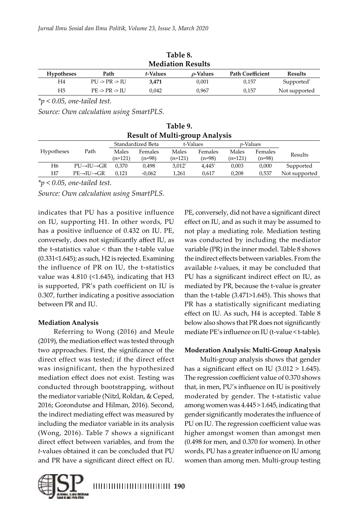| lable 8.<br><b>Mediation Results</b> |                                    |          |                |                         |                        |  |
|--------------------------------------|------------------------------------|----------|----------------|-------------------------|------------------------|--|
| <b>Hypotheses</b>                    | Path                               | t-Values | $\rho$ -Values | <b>Path Coefficient</b> | <b>Results</b>         |  |
| H4                                   | $PU \rightarrow PR \rightarrow IU$ | 3.471    | 0,001          | 0.157                   | Supported <sup>*</sup> |  |
| H5                                   | $PE \rightarrow PR \rightarrow IU$ | 0.042    | 0.967          | 0.157                   | Not supported          |  |

**Table 1. 1. 2.**  $\alpha$ 

*\*p < 0.05, one-tailed test.*

*Source: Own calculation using SmartPLS.* 

**Table 9. Result of Multi-group Analysis**

|                   |                                   |         | Standardized Beta |           | t-Values |           | <i>v</i> -Values |               |
|-------------------|-----------------------------------|---------|-------------------|-----------|----------|-----------|------------------|---------------|
| <b>Hypotheses</b> | Path                              | Males   | Females           | Males     | Females  | Males     | Females          | Results       |
|                   |                                   | (n=121) | (n=98)            | (n=121)   | (n=98)   | $(n=121)$ | (n=98)           |               |
| Η6                | $PU \rightarrow U \rightarrow GR$ | 0.370   | 0.498             | $3.012^*$ | 4.445*   | 0.003     | 0.000            | Supported     |
| Η7                | $PE \rightarrow H \rightarrow GR$ | 0.121   | -0.062            | 1,261     | 0.617    | 0,208     | 0.537            | Not supported |
|                   |                                   |         |                   |           |          |           |                  |               |

*\*p < 0.05, one-tailed test.*

*Source: Own calculation using SmartPLS.* 

indicates that PU has a positive influence on IU, supporting H1. In other words, PU has a positive influence of 0.432 on IU. PE, conversely, does not significantly affect IU, as the t-statistics value < than the t-table value (0.331<1.645); as such, H2 is rejected. Examining the influence of PR on IU, the t-statistics value was  $4.810$  (<1.645), indicating that H3 is supported, PR's path coefficient on IU is 0.307, further indicating a positive association between PR and IU.

### **Mediation Analysis**

Referring to Wong (2016) and Meule (2019), the mediation effect was tested through two approaches. First, the significance of the direct effect was tested; if the direct effect was insignificant, then the hypothesized mediation effect does not exist. Testing was conducted through bootstrapping, without the mediator variable (Nitzl, Roldan, & Ceped, 2016; Gorondutse and Hilman, 2016). Second, the indirect mediating effect was measured by including the mediator variable in its analysis (Wong, 2016). Table 7 shows a significant direct effect between variables, and from the *t*-values obtained it can be concluded that PU and PR have a significant direct effect on IU.

PE, conversely, did not have a significant direct effect on IU, and as such it may be assumed to not play a mediating role. Mediation testing was conducted by including the mediator variable (PR) in the inner model. Table 8 shows the indirect effects between variables. From the available *t*-values, it may be concluded that PU has a significant indirect effect on IU, as mediated by PR, because the t-value is greater than the t-table (3.471>1.645). This shows that PR has a statistically significant mediating effect on IU. As such, H4 is accepted. Table 8 below also shows that PR does not significantly mediate PE's influence on IU (t-value < t-table).

# **Moderation Analysis: Multi-Group Analysis**

Multi-group analysis shows that gender has a significant effect on IU (3.012 > 1.645). The regression coefficient value of 0.370 shows that, in men, PU's influence on IU is positively moderated by gender. The t-statistic value among women was 4.445 > 1.645, indicating that gender significantly moderates the influence of PU on IU. The regression coefficient value was higher amongst women than amongst men (0.498 for men, and 0.370 for women). In other words, PU has a greater influence on IU among women than among men. Multi-group testing

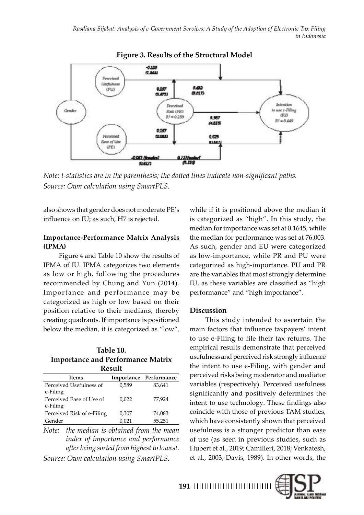

**Figure 3. Results of the Structural Model**

*Note: t-statistics are in the parenthesis; the dotted lines indicate non-significant paths. Source: Own calculation using SmartPLS.* 

also shows that gender does not moderate PE's influence on IU; as such, H7 is rejected.

# **Importance-Performance Matrix Analysis (IPMA)**

Figure 4 and Table 10 show the results of IPMA of IU. IPMA categorizes two elements as low or high, following the procedures recommended by Chung and Yun (2014). Importance and performance may be categorized as high or low based on their position relative to their medians, thereby creating quadrants. If importance is positioned below the median, it is categorized as "low",

### **Table 10. Importance and Performance Matrix Result**

| <b>Items</b>               |       | Importance Performance |  |  |  |  |  |  |
|----------------------------|-------|------------------------|--|--|--|--|--|--|
| Perceived Usefulness of    | 0,589 | 83,641                 |  |  |  |  |  |  |
| e-Filing                   |       |                        |  |  |  |  |  |  |
| Perceived Ease of Use of   | 0,022 | 77,924                 |  |  |  |  |  |  |
| e-Filing                   |       |                        |  |  |  |  |  |  |
| Perceived Risk of e-Filing | 0,307 | 74,083                 |  |  |  |  |  |  |
| Gender                     | 0,021 | 55,251                 |  |  |  |  |  |  |
|                            |       |                        |  |  |  |  |  |  |

*Note: the median is obtained from the mean index of importance and performance after being sorted from highest to lowest. Source: Own calculation using SmartPLS.* 

while if it is positioned above the median it is categorized as "high". In this study, the median for importance was set at 0.1645, while the median for performance was set at 76.003. As such, gender and EU were categorized as low-importance, while PR and PU were categorized as high-importance. PU and PR are the variables that most strongly determine IU, as these variables are classified as "high performance" and "high importance".

# **Discussion**

This study intended to ascertain the main factors that influence taxpayers' intent to use e-Filing to file their tax returns. The empirical results demonstrate that perceived usefulness and perceived risk strongly influence the intent to use e-Filing, with gender and perceived risks being moderator and mediator variables (respectively). Perceived usefulness significantly and positively determines the intent to use technology. These findings also coincide with those of previous TAM studies, which have consistently shown that perceived usefulness is a stronger predictor than ease of use (as seen in previous studies, such as Hubert et al., 2019; Camilleri, 2018; Venkatesh, et al., 2003; Davis, 1989). In other words, the

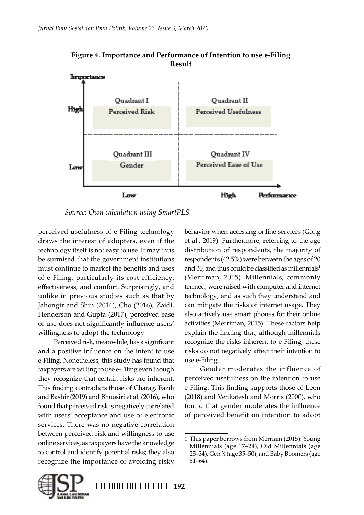

**Figure 4. Importance and Performance of Intention to use e-Filing Result**

*Source: Own calculation using SmartPLS.* 

perceived usefulness of e-Filing technology draws the interest of adopters, even if the technology itself is not easy to use. It may thus be surmised that the government institutions must continue to market the benefits and uses of e-Filing, particularly its cost-efficiency, effectiveness, and comfort. Surprisingly, and unlike in previous studies such as that by Jahongir and Shin (2014), Cho (2016), Zaidi, Henderson and Gupta (2017), perceived ease of use does not significantly influence users' willingness to adopt the technology.

Perceived risk, meanwhile, has a significant and a positive influence on the intent to use e-Filing. Nonetheless, this study has found that taxpayers are willing to use e-Filing even though they recognize that certain risks are inherent. This finding contradicts those of Charag, Fazili and Bashir (2019) and Bhuasiri et al. (2016), who found that perceived risk is negatively correlated with users' acceptance and use of electronic services. There was no negative correlation between perceived risk and willingness to use online services, as taxpayers have the knowledge to control and identify potential risks; they also recognize the importance of avoiding risky

behavior when accessing online services (Gong et al., 2019). Furthermore, referring to the age distribution of respondents, the majority of respondents (42.5%) were between the ages of 20 and 30, and thus could be classified as millennials<sup>1</sup> (Merriman, 2015). Millennials, commonly termed, were raised with computer and internet technology, and as such they understand and can mitigate the risks of internet usage. They also actively use smart phones for their online activities (Merriman, 2015). These factors help explain the finding that, although millennials recognize the risks inherent to e-Filing, these risks do not negatively affect their intention to use e-Filing.

Gender moderates the influence of perceived usefulness on the intention to use e-Filing. This finding supports those of Leon (2018) and Venkatesh and Morris (2000), who found that gender moderates the influence of perceived benefit on intention to adopt



<sup>1</sup> This paper borrows from Merriam (2015): Young Millennials (age 17–24), Old Millennials (age 25–34), Gen X (age 35–50), and Baby Boomers (age 51–64).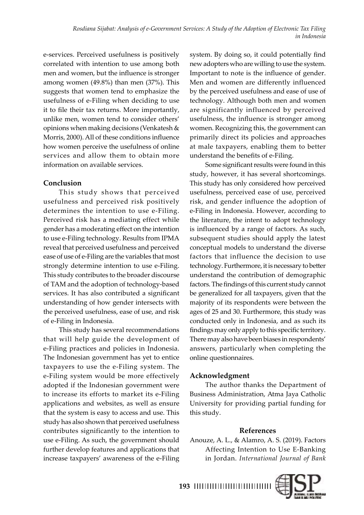e-services. Perceived usefulness is positively correlated with intention to use among both men and women, but the influence is stronger among women (49.8%) than men (37%). This suggests that women tend to emphasize the usefulness of e-Filing when deciding to use it to file their tax returns. More importantly, unlike men, women tend to consider others' opinions when making decisions (Venkatesh & Morris, 2000). All of these conditions influence how women perceive the usefulness of online services and allow them to obtain more information on available services.

# **Conclusion**

This study shows that perceived usefulness and perceived risk positively determines the intention to use e-Filing. Perceived risk has a mediating effect while gender has a moderating effect on the intention to use e-Filing technology. Results from IPMA reveal that perceived usefulness and perceived ease of use of e-Filing are the variables that most strongly determine intention to use e-Filing. This study contributes to the broader discourse of TAM and the adoption of technology-based services. It has also contributed a significant understanding of how gender intersects with the perceived usefulness, ease of use, and risk of e-Filing in Indonesia.

This study has several recommendations that will help guide the development of e-Filing practices and policies in Indonesia. The Indonesian government has yet to entice taxpayers to use the e-Filing system. The e-Filing system would be more effectively adopted if the Indonesian government were to increase its efforts to market its e-Filing applications and websites, as well as ensure that the system is easy to access and use. This study has also shown that perceived usefulness contributes significantly to the intention to use e-Filing. As such, the government should further develop features and applications that increase taxpayers' awareness of the e-Filing

system. By doing so, it could potentially find new adopters who are willing to use the system. Important to note is the influence of gender. Men and women are differently influenced by the perceived usefulness and ease of use of technology. Although both men and women are significantly influenced by perceived usefulness, the influence is stronger among women. Recognizing this, the government can primarily direct its policies and approaches at male taxpayers, enabling them to better understand the benefits of e-Filing.

Some significant results were found in this study, however, it has several shortcomings. This study has only considered how perceived usefulness, perceived ease of use, perceived risk, and gender influence the adoption of e-Filing in Indonesia. However, according to the literature, the intent to adopt technology is influenced by a range of factors. As such, subsequent studies should apply the latest conceptual models to understand the diverse factors that influence the decision to use technology. Furthermore, it is necessary to better understand the contribution of demographic factors. The findings of this current study cannot be generalized for all taxpayers, given that the majority of its respondents were between the ages of 25 and 30. Furthermore, this study was conducted only in Indonesia, and as such its findings may only apply to this specific territory. There may also have been biases in respondents' answers, particularly when completing the online questionnaires.

# **Acknowledgment**

The author thanks the Department of Business Administration, Atma Jaya Catholic University for providing partial funding for this study.

# **References**

Anouze, A. L., & Alamro, A. S. (2019). Factors Affecting Intention to Use E-Banking in Jordan. *International Journal of Bank*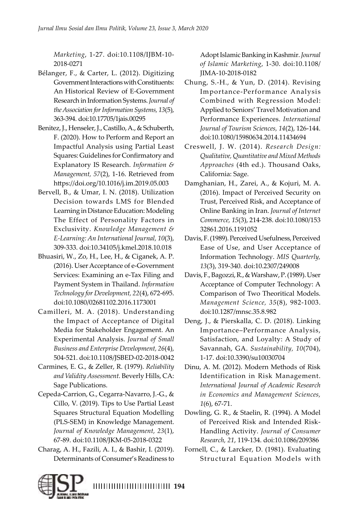*Marketing*, 1-27. doi:10.1108/IJBM-10- 2018-0271

- Bélanger, F., & Carter, L. (2012). Digitizing Government Interactions with Constituents: An Historical Review of E-Government Research in Information Systems. *Journal of the Association for Information Systems, 13*(5), 363-394. doi:10.17705/1jais.00295
- Benitez, J., Henseler, J., Castillo, A., & Schuberth, F. (2020). How to Perform and Report an Impactful Analysis using Partial Least Squares: Guidelines for Confirmatory and Explanatory IS Research. *Information & Management, 57*(2), 1-16. Retrieved from https://doi.org/10.1016/j.im.2019.05.003
- Bervell, B., & Umar, I. N. (2018). Utilization Decision towards LMS for Blended Learning in Distance Education: Modeling The Effect of Personality Factors in Exclusivity. *Knowledge Management & E-Learning: An International Journal, 10*(3), 309-333. doi:10.34105/j.kmel.2018.10.018
- Bhuasiri, W., Zo, H., Lee, H., & Ciganek, A. P. (2016). User Acceptance of e-Government Services: Examining an e-Tax Filing and Payment System in Thailand. *Information Technology for Development, 22*(4), 672-695. doi:10.1080/02681102.2016.1173001
- Camilleri, M. A. (2018). Understanding the Impact of Acceptance of Digital Media for Stakeholder Engagement. An Experimental Analysis. *Journal of Small Business and Enterprise Development, 26*(4), 504-521. doi:10.1108/JSBED-02-2018-0042
- Carmines, E. G., & Zeller, R. (1979). *Reliability and Validity Assessment.* Beverly Hills, CA: Sage Publications.
- Cepeda-Carrion, G., Cegarra-Navarro, J.-G., & Cillo, V. (2019). Tips to Use Partial Least Squares Structural Equation Modelling (PLS-SEM) in Knowledge Management. *Journal of Knowledge Management, 23*(1), 67-89. doi:10.1108/JKM-05-2018-0322
- Charag, A. H., Fazili, A. I., & Bashir, I. (2019). Determinants of Consumer's Readiness to

Adopt Islamic Banking in Kashmir. *Journal of Islamic Marketing*, 1-30. doi:10.1108/ JIMA-10-2018-0182

- Chung, S.-H., & Yun, D. (2014). Revising Importance-Performance Analysis Combined with Regression Model: Applied to Seniors' Travel Motivation and Performance Experiences. *International Journal of Tourism Sciences, 14*(2), 126-144. doi:10.1080/15980634.2014.11434694
- Creswell, J. W. (2014). *Research Design: Qualitative, Quantitative and Mixed Methods Approaches* (4th ed.). Thousand Oaks, California: Sage.
- Damghanian, H., Zarei, A., & Kojuri, M. A. (2016). Impact of Perceived Security on Trust, Perceived Risk, and Acceptance of Online Banking in Iran. *Journal of Internet Commerce, 15*(3), 214-238. doi:10.1080/153 32861.2016.1191052
- Davis, F. (1989). Perceived Usefulness, Perceived Ease of Use, and User Acceptance of Information Technology. *MIS Quarterly, 13*(3), 319-340. doi:10.2307/249008
- Davis, F., Bagozzi, R., & Warshaw, P. (1989). User Acceptance of Computer Technology: A Comparison of Two Theoritical Models. *Management Science, 35*(8), 982-1003. doi:10.1287/mnsc.35.8.982
- Deng, J., & Pierskalla, C. D. (2018). Linking Importance–Performance Analysis, Satisfaction, and Loyalty: A Study of Savannah, GA. *Sustainability, 10*(704), 1-17. doi:10.3390/su10030704
- Dinu, A. M. (2012). Modern Methods of Risk Identification in Risk Management. *International Journal of Academic Research in Economics and Management Sciences, 1*(6), 67-71.
- Dowling, G. R., & Staelin, R. (1994). A Model of Perceived Risk and Intended Risk-Handling Activity. *Journal of Consumer Research, 21*, 119-134. doi:10.1086/209386
- Fornell, C., & Larcker, D. (1981). Evaluating Structural Equation Models with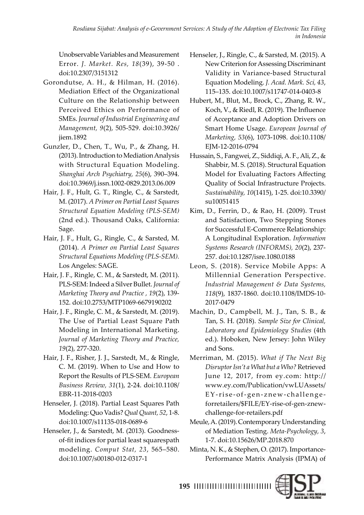*[Rosdiana Sijabat:](#page-0-0) [Analysis of e-Government Services: A Study of the Adoption of Electronic Tax Filing](#page-0-0)  [in Indonesia](#page-0-0)* 

Unobservable Variables and Measurement Error. *J. Market. Res, 18*(39), 39-50 . doi:10.2307/3151312

- Gorondutse, A. H., & Hilman, H. (2016). Mediation Effect of the Organizational Culture on the Relationship between Perceived Ethics on Performance of SMEs. *Journal of Industrial Engineering and Management, 9*(2), 505-529. doi:10.3926/ jiem.1892
- Gunzler, D., Chen, T., Wu, P., & Zhang, H. (2013). Introduction to Mediation Analysis with Structural Equation Modeling. *Shanghai Arch Psychiatry, 25*(6), 390–394. doi:10.3969/j.issn.1002-0829.2013.06.009
- Hair, J. F., Hult, G. T., Ringle, C., & Sarstedt, M. (2017). *A Primer on Partial Least Squares Structural Equation Modeling (PLS-SEM)* (2nd ed.). Thousand Oaks, California: Sage.
- Hair, J. F., Hult, G., Ringle, C., & Sarsted, M. (2014). *A Primer on Partial Least Squares Structural Equations Modeling (PLS-SEM).* Los Angeles: SAGE.
- Hair, J. F., Ringle, C. M., & Sarstedt, M. (2011). PLS-SEM: Indeed a Silver Bullet. *Journal of Marketing Theory and Practice , 19*(2), 139- 152. doi:10.2753/MTP1069-6679190202
- Hair, J. F., Ringle, C. M., & Sarstedt, M. (2019). The Use of Partial Least Square Path Modeling in International Marketing. *Journal of Marketing Theory and Practice, 19*(2), 277-320.
- Hair, J. F., Risher, J. J., Sarstedt, M., & Ringle, C. M. (2019). When to Use and How to Report the Results of PLS-SEM. *European Business Review, 31*(1), 2-24. doi:10.1108/ EBR-11-2018-0203
- Henseler, J. (2018). Partial Least Squares Path Modeling: Quo Vadis? *Qual Quant, 52*, 1-8. doi:10.1007/s11135-018-0689-6
- Henseler, J., & Sarstedt, M. (2013). Goodnessof-fit indices for partial least squarespath modeling. *Comput Stat, 23*, 565–580. doi:10.1007/s00180-012-0317-1
- Henseler, J., Ringle, C., & Sarsted, M. (2015). A New Criterion for Assessing Discriminant Validity in Variance-based Structural Equation Modeling. *J. Acad. Mark. Sci, 43*, 115–135. doi:10.1007/s11747-014-0403-8
- Hubert, M., Blut, M., Brock, C., Zhang, R. W., Koch, V., & Riedl, R. (2019). The Influence of Acceptance and Adoption Drivers on Smart Home Usage. *European Journal of Marketing, 53*(6), 1073-1098. doi:10.1108/ EJM-12-2016-0794
- Hussain, S., Fangwei, Z., Siddiqi, A. F., Ali, Z., & Shabbir, M. S. (2018). Structural Equation Model for Evaluating Factors Affecting Quality of Social Infrastructure Projects. *Sustainability, 10*(1415), 1-25. doi:10.3390/ su10051415
- Kim, D., Ferrin, D., & Rao, H. (2009). Trust and Satisfaction, Two Stepping Stones for Successful E-Commerce Relationship: A Longitudinal Exploration. *Information Systems Research (INFORMS), 20*(2), 237- 257. doi:10.1287/isre.1080.0188
- Leon, S. (2018). Service Mobile Apps: A Millennial Generation Perspective. *Industrial Management & Data Systems, 118*(9), 1837-1860. doi:10.1108/IMDS-10- 2017-0479
- Machin, D., Campbell, M. J., Tan, S. B., & Tan, S. H. (2018). *Sample Size for Clinical, Laboratory and Epidemiology Studies* (4th ed.). Hoboken, New Jersey: John Wiley and Sons.
- Merriman, M. (2015). *What if The Next Big Disruptor Isn't a What but a Who?* Retrieved June 12, 2017, from ey.com: http:// www.ey.com/Publication/vwLUAssets/ EY-rise-of-gen-znew-challengeforretailers/\$FILE/EY-rise-of-gen-znewchallenge-for-retailers.pdf
- Meule, A. (2019). Contemporary Understanding of Mediation Testing. *Meta-Psychology, 3*, 1-7. doi:10.15626/MP.2018.870
- Minta, N. K., & Stephen, O. (2017). Importance-Performance Matrix Analysis (IPMA) of

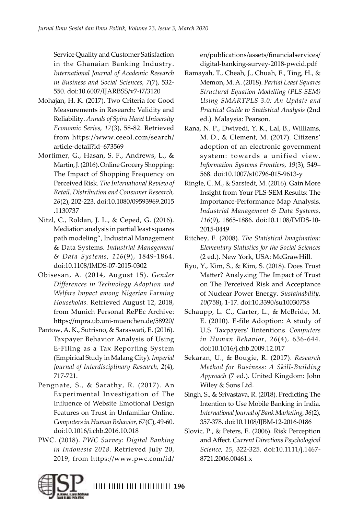Service Quality and Customer Satisfaction in the Ghanaian Banking Industry. *International Journal of Academic Research in Business and Social Sciences, 7*(7), 532- 550. doi:10.6007/IJARBSS/v7-i7/3120

- Mohajan, H. K. (2017). Two Criteria for Good Measurements in Research: Validity and Reliability. *Annals of Spiru Haret University Economic Series, 17*(3), 58-82. Retrieved from https://www.ceeol.com/search/ article-detail?id=673569
- Mortimer, G., Hasan, S. F., Andrews, L., & Martin, J. (2016). Online Grocery Shopping: The Impact of Shopping Frequency on Perceived Risk. *The International Review of Retail, Distribution and Consumer Research, 26*(2), 202-223. doi:10.1080/09593969.2015 .1130737
- Nitzl, C., Roldan, J. L., & Ceped, G. (2016). Mediation analysis in partial least squares path modeling", Industrial Management & Data Systems. *Industrial Management & Data Systems, 116*(9), 1849-1864. doi:10.1108/IMDS-07-2015-0302
- Obisesan, A. (2014, August 15). *Gender Differences in Technology Adoption and Welfare Impact among Nigerian Farming Households.* Retrieved August 12, 2018, from Munich Personal RePEc Archive: https://mpra.ub.uni-muenchen.de/58920/
- Pantow, A. K., Sutrisno, & Saraswati, E. (2016). Taxpayer Behavior Analysis of Using E-Filing as a Tax Reporting System (Empirical Study in Malang City). *Imperial Journal of Interdisciplinary Research, 2*(4), 717-721.
- Pengnate, S., & Sarathy, R. (2017). An Experimental Investigation of The Influence of Website Emotional Design Features on Trust in Unfamiliar Online. *Computers in Human Behavior, 67*(C), 49-60. doi:10.1016/i.chb.2016.10.018
- PWC. (2018). *PWC Survey: Digital Banking in Indonesia 2018.* Retrieved July 20, 2019, from https://www.pwc.com/id/

en/publications/assets/financialservices/ digital-banking-survey-2018-pwcid.pdf

- Ramayah, T., Cheah, J., Chuah, F., Ting, H., & Memon, M. A. (2018). *Partial Least Squares Structural Equation Modelling (PLS-SEM) Using SMARTPLS 3.0: An Update and Practical Guide to Statistical Analysis* (2nd ed.). Malaysia: Pearson.
- Rana, N. P., Dwivedi, Y. K., Lal, B., Williams, M. D., & Clement, M. (2017). Citizens' adoption of an electronic government system: towards a unified view. *Information Systems Frontiers, 19*(3), 549– 568. doi:10.1007/s10796-015-9613-y
- Ringle, C. M., & Sarstedt, M. (2016). Gain More Insight from Your PLS-SEM Results: The Importance-Performance Map Analysis. *Industrial Management & Data Systems, 116*(9), 1865-1886. doi:10.1108/IMDS-10- 2015-0449
- Ritchey, F. (2008). *The Statistical Imagination: Elementary Statistics for the Social Sciences* (2 ed.). New York, USA: McGrawHill.
- Ryu, Y., Kim, S., & Kim, S. (2018). Does Trust Matter? Analyzing The Impact of Trust on The Perceived Risk and Acceptance of Nuclear Power Energy. *Sustainability, 10*(758), 1-17. doi:10.3390/su10030758
- Schaupp, L. C., Carter, L., & McBride, M. E. (2010). E-file Adoption: A study of U.S. Taxpayers' Iintentions. *Computers in Human Behavior, 26*(4), 636-644. doi:10.1016/j.chb.2009.12.017
- Sekaran, U., & Bougie, R. (2017). *Research Method for Business: A Skill-Building Approach* (7 ed.). United Kingdom: John Wiley & Sons Ltd.
- Singh, S., & Srivastava, R. (2018). Predicting The Intention to Use Mobile Banking in India. *International Journal of Bank Marketing, 36*(2), 357-378. doi:10.1108/IJBM-12-2016-0186
- Slovic, P., & Peters, E. (2006). Risk Perception and Affect. *Current Directions Psychological Science, 15*, 322-325. doi:10.1111/j.1467- 8721.2006.00461.x